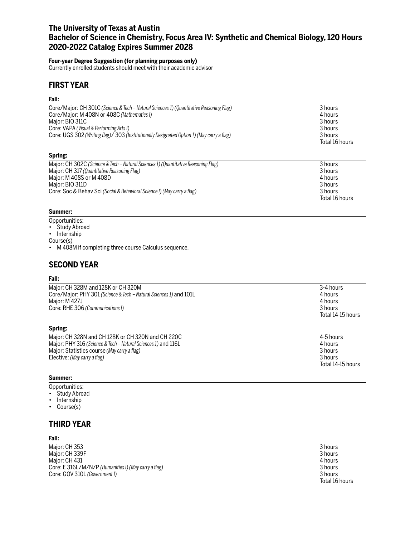# **The University of Texas at Austin Bachelor of Science in Chemistry, Focus Area IV: Synthetic and Chemical Biology, 120 Hours 2020-2022 Catalog Expires Summer 2028**

## **Four-year Degree Suggestion (for planning purposes only)**

Currently enrolled students should meet with their academic advisor

# **FIRST YEAR**

## **Fall:**

| Core/Major: CH 301C (Science & Tech - Natural Sciences 1) (Quantitative Reasoning Flag)    | 3 hours        |
|--------------------------------------------------------------------------------------------|----------------|
| Core/Major: M 408N or 408C (Mathematics I)                                                 | 4 hours        |
| Major: BIO 311C                                                                            | 3 hours        |
| Core: VAPA (Visual & Performing Arts I)                                                    | 3 hours        |
| Core: UGS 302 (Writing flag)/ 303 (Institutionally Designated Option 1) (May carry a flag) | 3 hours        |
|                                                                                            | Total 16 hours |
| Spring:                                                                                    |                |
| Major: CH 302C (Science & Tech – Natural Sciences 1) (Quantitative Reasoning Flag)         | 3 hours        |
| Major: CH 317 (Quantitative Reasoning Flag)                                                | 3 hours        |
| Major: M 408S or M 408D                                                                    | 4 hours        |
| Major: BIO 311D                                                                            | 3 hours        |
| Core: Soc & Behav Sci (Social & Behavioral Science I) (May carry a flag)                   | 3 hours        |
|                                                                                            | Total 16 hours |

## **Summer:**

- Opportunities:
- Study Abroad
- Internship

Course(s)

• M 408M if completing three course Calculus sequence.

# **SECOND YEAR**

## **Fall:**

| Major: CH 328M and 128K or CH 320M<br>Core/Major: PHY 301 (Science & Tech – Natural Sciences 1) and 101L<br>Major: M 427J<br>Core: RHE 306 (Communications I) | 3-4 hours<br>4 hours<br>4 hours<br>3 hours<br>Total 14-15 hours |
|---------------------------------------------------------------------------------------------------------------------------------------------------------------|-----------------------------------------------------------------|
| Spring:                                                                                                                                                       |                                                                 |
| Major: CH 328N and CH 128K or CH 320N and CH 220C                                                                                                             | 4-5 hours                                                       |
| Major: PHY 316 (Science & Tech – Natural Sciences 1) and 116L                                                                                                 | 4 hours                                                         |
| Major: Statistics course (May carry a flag)                                                                                                                   | 3 hours                                                         |
| Elective: (May carry a flag)                                                                                                                                  | 3 hours                                                         |

#### **Summer:**

Opportunities:

• Study Abroad

Elective: *(May carry a flag)* 

- Internship
- Course(s)

# **THIRD YEAR**

#### **Fall:**

Major: CH 353 3 hours<br>
Major: CH 339F 3 hours<br>
3 hours Major: CH 339F 3 hours (2012) 2013 12:30 12:30 12:30 12:30 12:30 13:30 13:30 13:30 13:30 13:30 13:30 13:30 13:3<br>Major: CH 431 3 13:30 13:30 13:30 13:30 13:30 13:30 13:30 13:30 13:30 14:30 14:30 14:31 14:31 14:31 14:31 14:3 Major: CH 431 4 hours<br>
Core: E 316L/M/N/P (Humanities I) (May carry a flag) 4 and 2008 12 and 2009 12 and 2009 12 and 2009 12 and 20 Core: E 316L/M/N/P (Humanities I) (May carry a flag) **Core: GOV 310L (Government I)** 3 hours

Total 16 hours

Total 14-15 hours